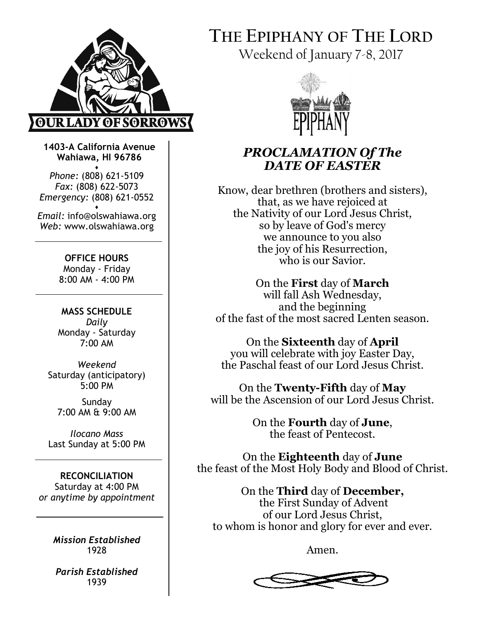

1403-A California Avenue Wahiawa, HI 96786

♦ Phone: (808) 621-5109 Fax: (808) 622-5073 Emergency: (808) 621-0552

♦ Email: info@olswahiawa.org Web: www.olswahiawa.org

> OFFICE HOURS Monday - Friday 8:00 AM - 4:00 PM

MASS SCHEDULE Daily Monday - Saturday 7:00 AM

Weekend Saturday (anticipatory) 5:00 PM

Sunday 7:00 AM & 9:00 AM

Ilocano Mass Last Sunday at 5:00 PM

RECONCILIATION Saturday at 4:00 PM or anytime by appointment

> Mission Established 1928

Parish Established 1939

# THE EPIPHANY OF THE LORD

Weekend of January 7-8, 2017



# PROCLAMATION Of The DATE OF EASTER

Know, dear brethren (brothers and sisters), that, as we have rejoiced at the Nativity of our Lord Jesus Christ, so by leave of God's mercy we announce to you also the joy of his Resurrection, who is our Savior.

On the First day of March will fall Ash Wednesday, and the beginning of the fast of the most sacred Lenten season.

On the Sixteenth day of April you will celebrate with joy Easter Day, the Paschal feast of our Lord Jesus Christ.

On the Twenty-Fifth day of May will be the Ascension of our Lord Jesus Christ.

> On the Fourth day of June, the feast of Pentecost.

On the Eighteenth day of June the feast of the Most Holy Body and Blood of Christ.

On the Third day of December, the First Sunday of Advent of our Lord Jesus Christ, to whom is honor and glory for ever and ever.

Amen.

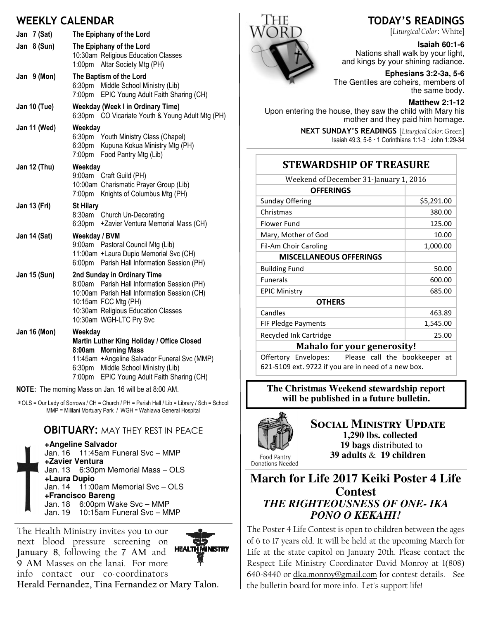#### WEEKLY CALENDAR

| Jan 7 (Sat)         | The Epiphany of the Lord                                                                                                                                                                                                                                                                                                                                                                                                                                                                                                                                                                                  |
|---------------------|-----------------------------------------------------------------------------------------------------------------------------------------------------------------------------------------------------------------------------------------------------------------------------------------------------------------------------------------------------------------------------------------------------------------------------------------------------------------------------------------------------------------------------------------------------------------------------------------------------------|
| Jan 8 (Sun)         | The Epiphany of the Lord<br>10:30am Religious Education Classes<br>$1:00$ pm<br>Altar Society Mtg (PH)                                                                                                                                                                                                                                                                                                                                                                                                                                                                                                    |
| Jan $9$ (Mon)       | The Baptism of the Lord<br>6:30pm Middle School Ministry (Lib)<br>7:00pm EPIC Young Adult Faith Sharing (CH)                                                                                                                                                                                                                                                                                                                                                                                                                                                                                              |
| Jan 10 (Tue)        | <b>Weekday (Week I in Ordinary Time)</b><br>6:30pm CO Vicariate Youth & Young Adult Mtg (PH)                                                                                                                                                                                                                                                                                                                                                                                                                                                                                                              |
| Jan 11 (Wed)        | Weekday<br>6:30 <sub>pm</sub><br>Youth Ministry Class (Chapel)<br>Kupuna Kokua Ministry Mtg (PH)<br>6:30pm<br>7:00pm<br>Food Pantry Mtg (Lib)                                                                                                                                                                                                                                                                                                                                                                                                                                                             |
| Jan 12 (Thu)        | Weekday<br>Craft Guild (PH)<br>9:00am<br>10:00am Charismatic Prayer Group (Lib)<br>7:00pm<br>Knights of Columbus Mtg (PH)                                                                                                                                                                                                                                                                                                                                                                                                                                                                                 |
| Jan 13 (Fri)        | <b>St Hilary</b><br>8:30am<br>Church Un-Decorating<br>6:30pm<br>+Zavier Ventura Memorial Mass (CH)                                                                                                                                                                                                                                                                                                                                                                                                                                                                                                        |
| <b>Jan 14 (Sat)</b> | Weekday / BVM<br>9:00am Pastoral Council Mtg (Lib)<br>11:00am +Laura Dupio Memorial Svc (CH)<br>6:00pm Parish Hall Information Session (PH)                                                                                                                                                                                                                                                                                                                                                                                                                                                               |
| Jan 15 (Sun)        | 2nd Sunday in Ordinary Time<br>8:00am Parish Hall Information Session (PH)<br>10:00am Parish Hall Information Session (CH)<br>10:15am FCC Mtg (PH)<br>10:30am Religious Education Classes<br>10:30am WGH-LTC Pry Svc                                                                                                                                                                                                                                                                                                                                                                                      |
| <b>Jan 16 (Mon)</b> | Weekday<br>Martin Luther King Holiday / Office Closed<br>8:00am Morning Mass<br>11:45am +Angeline Salvador Funeral Svc (MMP)<br>6:30pm Middle School Ministry (Lib)<br>7:00pm EPIC Young Adult Faith Sharing (CH)<br>$\overline{1}$ $\overline{1}$ $\overline{1}$ $\overline{1}$ $\overline{1}$ $\overline{1}$ $\overline{1}$ $\overline{1}$ $\overline{1}$ $\overline{1}$ $\overline{1}$ $\overline{1}$ $\overline{1}$ $\overline{1}$ $\overline{1}$ $\overline{1}$ $\overline{1}$ $\overline{1}$ $\overline{1}$ $\overline{1}$ $\overline{1}$ $\overline{1}$ $\overline{1}$ $\overline{1}$ $\overline{$ |

NOTE: The morning Mass on Jan. 16 will be at 8:00 AM.

∗OLS = Our Lady of Sorrows / CH = Church / PH = Parish Hall / Lib = Library / Sch = School MMP = Mililani Mortuary Park / WGH = Wahiawa General Hospital

#### **OBITUARY: MAY THEY REST IN PEACE**

**+Angeline Salvador** 

Jan. 16 11:45am Funeral Svc – MMP **+Zavier Ventura**  Jan. 13 6:30pm Memorial Mass – OLS **+Laura Dupio**  Jan. 14 11:00am Memorial Svc – OLS **+Francisco Bareng** Jan. 18 6:00pm Wake Svc – MMP Jan. 19 10:15am Funeral Svc – MMP

The Health Ministry invites you to our next blood pressure screening on **HEALTH MINISTRY** January 8, following the 7 AM and 9 AM Masses on the lanai. For more info contact our co-coordinators Herald Fernandez, Tina Fernandez or Mary Talon.



### TODAY'S READINGS

[Liturgical Color: White]

#### **Isaiah 60:1-6**

Nations shall walk by your light, and kings by your shining radiance.

**Ephesians 3:2-3a, 5-6**  The Gentiles are coheirs, members of the same body.

**Matthew 2:1-12** 

Upon entering the house, they saw the child with Mary his mother and they paid him homage.

> NEXT SUNDAY'S READINGS [Liturgical Color: Green] Isaiah 49:3, 5-6 · 1 Corinthians 1:1-3 · John 1:29-34

### STEWARDSHIP OF TREASURE

| Weekend of December 31-January 1, 2016 |            |  |
|----------------------------------------|------------|--|
| <b>OFFERINGS</b>                       |            |  |
| <b>Sunday Offering</b>                 | \$5,291.00 |  |
| Christmas                              | 380.00     |  |
| Flower Fund                            | 125.00     |  |
| Mary, Mother of God                    | 10.00      |  |
| Fil-Am Choir Caroling                  | 1,000.00   |  |
| <b>MISCELLANEOUS OFFERINGS</b>         |            |  |
| <b>Building Fund</b>                   | 50.00      |  |
| <b>Funerals</b>                        | 600.00     |  |
| <b>EPIC Ministry</b>                   | 685.00     |  |
| <b>OTHERS</b>                          |            |  |
| Candles                                | 463.89     |  |
| <b>FIF Pledge Payments</b>             | 1,545.00   |  |
| Recycled Ink Cartridge                 | 25.00      |  |
| Mahala fan wayn gananagityl            |            |  |

#### Mahalo for your generosity!

Offertory Envelopes: Please call the bookkeeper at 621-5109 ext. 9722 if you are in need of a new box.

**The Christmas Weekend stewardship report will be published in a future bulletin.** 



SOCIAL MINISTRY UPDATE  **1,290 lbs. collected 19 bags** distributed to **39 adults** & **19 children**

Food Pantry Donations Needed

#### **March for Life 2017 Keiki Poster 4 Life Contest**  *THE RIGHTEOUSNESS OF ONE- IKA PONO O KEKAHI!*

The Poster 4 Life Contest is open to children between the ages of 6 to 17 years old. It will be held at the upcoming March for Life at the state capitol on January 20th. Please contact the Respect Life Ministry Coordinator David Monroy at 1(808) 640-8440 or dka.monroy@gmail.com for contest details. See the bulletin board for more info. Let's support life!